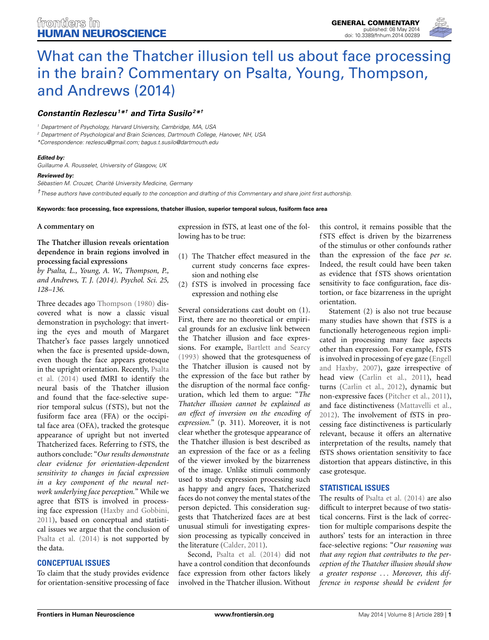

# [What can the Thatcher illusion tell us about face processing](http://www.frontiersin.org/journal/10.3389/fnhum.2014.00289/full) in the brain? Commentary on Psalta, Young, Thompson, and Andrews (2014)

## *[Constantin Rezlescu1](http://community.frontiersin.org/people/u/94932) \*† and [Tirta Susilo2](http://community.frontiersin.org/people/u/156454) \*†*

*<sup>1</sup> Department of Psychology, Harvard University, Cambridge, MA, USA*

*<sup>2</sup> Department of Psychological and Brain Sciences, Dartmouth College, Hanover, NH, USA*

*\*Correspondence: [rezlescu@gmail.com;](mailto:rezlescu@gmail.com) [bagus.t.susilo@dartmouth.edu](mailto:bagus.t.susilo@dartmouth.edu)*

#### *Edited by:*

*Guillaume A. Rousselet, University of Glasgow, UK*

#### *Reviewed by:*

*Sébastien M. Crouzet, Charité University Medicine, Germany*

*†These authors have contributed equally to the conception and drafting of this Commentary and share joint first authorship.*

#### **Keywords: face processing, face expressions, thatcher illusion, superior temporal sulcus, fusiform face area**

### **A commentary on**

## **The Thatcher illusion reveals orientation dependence in brain regions involved in processing facial expressions**

*by Psalta, L., Young, A. W., Thompson, P., and Andrews, T. J. (2014). Psychol. Sci. 25, 128–136.*

Three decades ago [Thompson](#page-1-0) [\(1980](#page-1-0)) discovered what is now a classic visual demonstration in psychology: that inverting the eyes and mouth of Margaret Thatcher's face passes largely unnoticed when the face is presented upside-down, even though the face appears grotesque in th[e upright orientation. Recently,](#page-1-1) Psalta et al. [\(2014](#page-1-1)) used fMRI to identify the neural basis of the Thatcher illusion and found that the face-selective superior temporal sulcus (f STS), but not the fusiform face area (FFA) or the occipital face area (OFA), tracked the grotesque appearance of upright but not inverted Thatcherized faces. Referring to f STS, the authors conclude: "*Our results demonstrate clear evidence for orientation-dependent sensitivity to changes in facial expression in a key component of the neural network underlying face perception.*" While we agree that fSTS is involved in processing face expression [\(Haxby and Gobbini,](#page-1-2) [2011](#page-1-2)), based on conceptual and statistical issues we argue that the conclusion of [Psalta et al.](#page-1-1) [\(2014\)](#page-1-1) is not supported by the data.

## **CONCEPTUAL ISSUES**

To claim that the study provides evidence for orientation-sensitive processing of face

expression in fSTS, at least one of the following has to be true:

- (1) The Thatcher effect measured in the current study concerns face expression and nothing else
- (2) f STS is involved in processing face expression and nothing else

Several considerations cast doubt on (1). First, there are no theoretical or empirical grounds for an exclusive link between the Thatcher illusion and face expressions. For example, [Bartlett and Searcy](#page-1-3) [\(1993\)](#page-1-3) showed that the grotesqueness of the Thatcher illusion is caused not by the expression of the face but rather by the disruption of the normal face configuration, which led them to argue: "*The Thatcher illusion cannot be explained as an effect of inversion on the encoding of expression.*" (p. 311). Moreover, it is not clear whether the grotesque appearance of the Thatcher illusion is best described as an expression of the face or as a feeling of the viewer invoked by the bizarreness of the image. Unlike stimuli commonly used to study expression processing such as happy and angry faces, Thatcherized faces do not convey the mental states of the person depicted. This consideration suggests that Thatcherized faces are at best unusual stimuli for investigating expression processing as typically conceived in the literature [\(Calder](#page-1-4), [2011\)](#page-1-4).

Second, [Psalta et al.](#page-1-1) [\(2014](#page-1-1)) did not have a control condition that deconfounds face expression from other factors likely involved in the Thatcher illusion. Without this control, it remains possible that the f STS effect is driven by the bizarreness of the stimulus or other confounds rather than the expression of the face *per se*. Indeed, the result could have been taken as evidence that f STS shows orientation sensitivity to face configuration, face distortion, or face bizarreness in the upright orientation.

Statement (2) is also not true because many studies have shown that fSTS is a functionally heterogeneous region implicated in processing many face aspects other than expression. For example, f STS is involved i[n processing of eye gaze \(](#page-1-5)Engell and Haxby, [2007\)](#page-1-5), gaze irrespective of head view [\(Carlin et al., 2011\)](#page-1-6), head turns [\(Carlin et al.](#page-1-7), [2012\)](#page-1-7), dynamic but non-expressive faces [\(Pitcher et al., 2011](#page-1-8)), and face distinctiveness [\(Mattavelli et al.,](#page-1-9) [2012](#page-1-9)). The involvement of fSTS in processing face distinctiveness is particularly relevant, because it offers an alternative interpretation of the results, namely that fSTS shows orientation sensitivity to face distortion that appears distinctive, in this case grotesque.

## **STATISTICAL ISSUES**

The results of [Psalta et al.](#page-1-1) [\(2014\)](#page-1-1) are also difficult to interpret because of two statistical concerns. First is the lack of correction for multiple comparisons despite the authors' tests for an interaction in three face-selective regions: "*Our reasoning was that any region that contributes to the perception of the Thatcher illusion should show a greater response ... Moreover, this difference in response should be evident for*